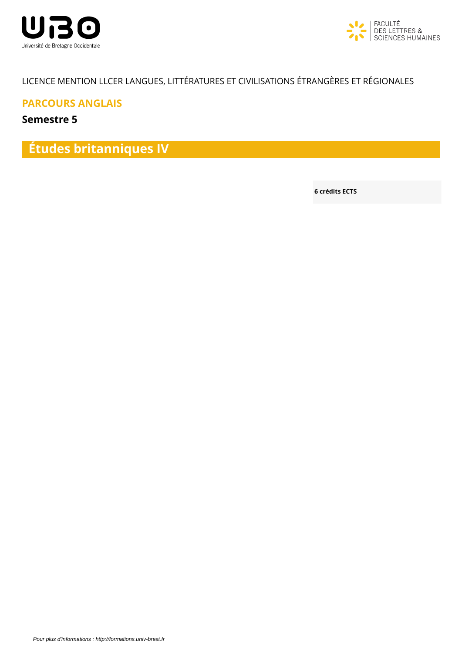



## LICENCE MENTION LLCER LANGUES, LITTÉRATURES ET CIVILISATIONS ÉTRANGÈRES ET RÉGIONALES

**PARCOURS ANGLAIS**

**Semestre 5**

**Études britanniques IV**

**6 crédits ECTS**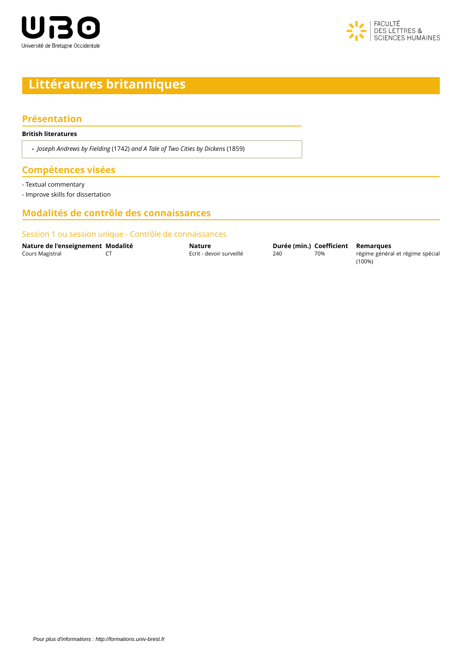



# **Littératures britanniques**

### **Présentation**

#### **British literatures**

**-** *Joseph Andrews by Fielding* (1742) *and A Tale of Two Cities by Dickens* (1859)

## **Compétences visées**

- Textual commentary

- Improve skills for dissertation

## **Modalités de contrôle des connaissances**

#### Session 1 ou session unique - Contrôle de connaissances

**Nature de l'enseignement Modalité Nature Nature Durée (min.) Coefficient Remarques**<br>Cours Magistral CT **COUTE EXECTE** Extit - devoir surveillé 240 70% régime généra

CT COURS MAGISTRAL COURS MAGISTRAL COURS MAGISTRAL COURS DE CITES DE CITES DE CITES DE CITES DE CITES DE CITES

(100%)